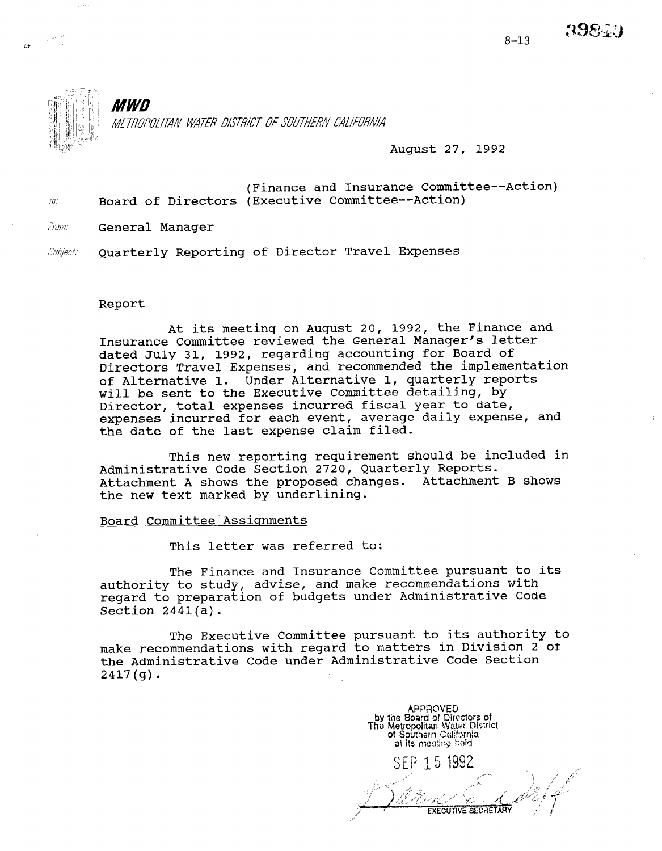3984.



MWD METROPOLITAN WATER DISTRICT OF SOUTHERN CALIFORNIA

August 27, 1992

- (Finance and Insurance Committee--Action)  $\tilde{w}$  Board of Directors (Executive Committee--Action)
- Fram: General Manager

Subject: Quarterly Reporting of Director Travel Expenses

# Report

At its meeting on August 20, 1992, the Finance and Insurance Committee reviewed the General Manager's letter dated July 31, 1992, regarding accounting for Board of Directors Travel Expenses, and recommended the implementation of Alternative 1. Under Alternative 1, quarterly reports will be sent to the Executive Committee detailing, by Director, total expenses incurred fiscal year to date, expenses incurred for each event, average daily expense, and the date of the last expense claim filed.

This new reporting requirement should be included in Administrative Code Section 2720, Quarterly Reports. Attachment A shows the proposed changes. Attachment B shows the new text marked by underlining.

#### Board Committee Assignments

This letter was referred to:

The Finance and Insurance Committee pursuant to its authority to study, advise, and make recommendations with regard to preparation of budgets under Administrative Code Section 2441(a).

The Executive Committee pursuant to its authority to make recommendations with regard to matters in Division 2 of the Administrative Code under Administrative Code Section 2417(g).

**APPROVED** by the Board of Directors of Tho Metrcpolitan Water District of Southarn Califo at its mesting hold SEP 15 1992 **EXECUTIVE SECRETARY**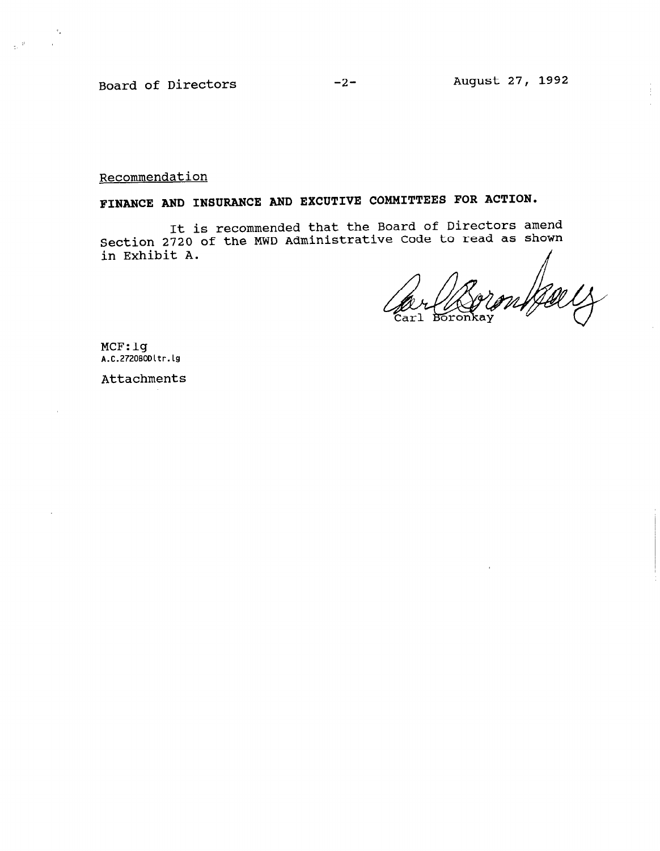Board of Directors -2- August 27, 1992

 $\langle \sigma \rangle$ 

 $\label{eq:2.1} \frac{1}{2\pi} \frac{2\Gamma}{\Gamma_{\rm c}} \left( \frac{1}{\Gamma_{\rm c}} \right) \left( \frac{1}{\Gamma_{\rm c}} \right)$ 

Recommendation

FINANCE AND INSURANCE AND EXCUTIVE COMMITTEES FOR ACTION.

It is recommended that the Board of Directors amend Section 2720 of the MWD Administrative Code to read as shown  $\frac{1}{2}$  in Exhibit A.  $\frac{1}{2}$ 

Carl

MCF:lg  $\ldots$ 

Attachments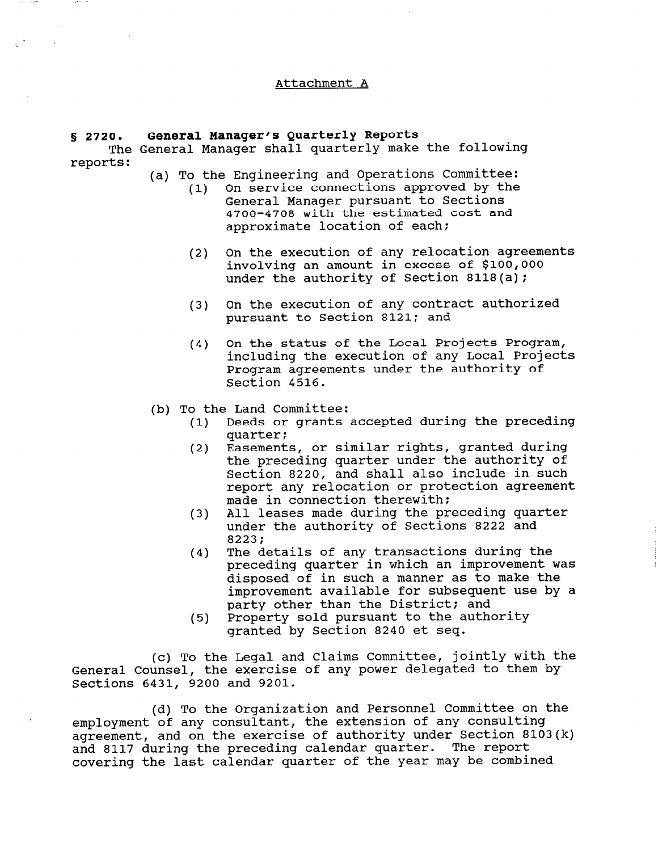## Attachment A

### § 2720. General Manager's Quarterly Reports

The General Manager shall quarterly make the following reports:

- (a) To the Engineering and Operations Committee:
	- (1) On service connections approved by the General Manager pursuant to Sections 4700-4708 with the estimated cost and approximate location of each:
	- (2) On the execution of any relocation agreements involving an amount in excess of \$100,000 under the authority of Section 8118(a);
	- (3) On the execution of any contract authorized pursuant to Section 8121; and
	- (4) On the status of the Local Projects Program, including the execution of any Local Projects Program agreements under the authority of Section 4516.
- (b) To the Land Committee:
	- (1) Deeds or grants accepted during the preceding quarter;
	- (2) Easements, or similar rights, granted during the preceding quarter under the authority of Section 8220, and shall also include in such report any relocation or protection agreement made in connection therewith:
	- (3) All leases made during the preceding quarter under the authority of Sections 8222 and 8223:
	- (4) The details of any transactions during the preceding quarter in which an improvement was disposed of in such a manner as to make the improvement available for subsequent use by a party other than the District; and
	- (5) Property sold pursuant to the authority granted by Section 8240 et seq.

(c) To the Legal and Claims Committee, jointly with the General Counsel, the exercise of any power delegated to them by Sections 6431, 9200 and 9201.

(d) To the Organization and Personnel Committee on the employment of any consultant, the extension of any consult employment of any consultant, the extension of any consulting agreement, and on the exercise of authority under Section and 8117 during the preceding calendar quarter. The report<br>covering the last calendar quarter of the year may be combined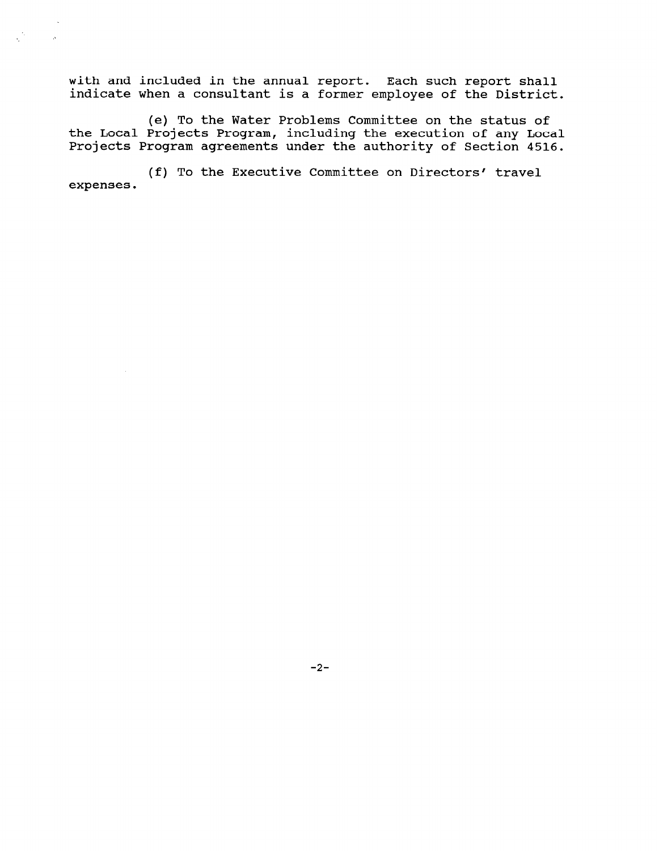with and included in the annual report. Each such report shal indicate when a consultant is a former employee of the Distr

 $\epsilon^{\rm th}$ 

 $\bar{p}$ 

(e) To the Water Problems Committee on the status of the Local Projects Program, including the execution of any Local Projects Program agreements under the authority of Section 4516.

(f) To the Executive Committee on Directors' travel expenses.

 $-2-$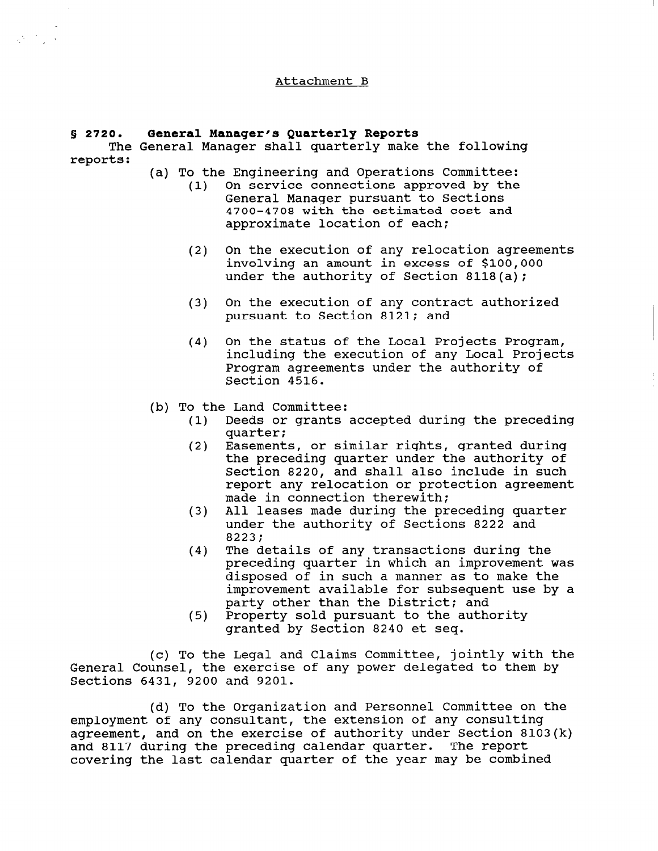## Attachment B

## 5 2720. General Manager's Quarterly Reports

 $\label{eq:2.1} \frac{1}{2} \sum_{i=1}^n \frac{1}{2} \sum_{j=1}^n \frac{1}{2} \sum_{j=1}^n \frac{1}{2} \sum_{j=1}^n \frac{1}{2} \sum_{j=1}^n \frac{1}{2} \sum_{j=1}^n \frac{1}{2} \sum_{j=1}^n \frac{1}{2} \sum_{j=1}^n \frac{1}{2} \sum_{j=1}^n \frac{1}{2} \sum_{j=1}^n \frac{1}{2} \sum_{j=1}^n \frac{1}{2} \sum_{j=1}^n \frac{1}{2} \sum_{j=1}^n \frac{$ 

The General Manager shall quarterly make the following reports:

(a) To the Engineering and Operations Committee:

- (1) On service connections approved by the General Manager pursuant to Sections 4700-4708 with the estimated cost and approximate location of each;
- (2) On the execution of any relocation agreements involving an amount in excess of \$100,000 under the authority of Section 8118(a);
- (3) On the execution of any contract authorized pursuant to Section 8121; and
- (4) On the status of the Local Projects Program, including the execution of any Local Projects Program agreements under the authority of Section 4516.
- (b) To the Land Committee:
	- (1) Deeds or grants accepted during the preceding quarter:
	- (2) Easements, or similar rights, granted during the preceding quarter under the authority of Section 8220, and shall also include in such report any relocation or protection agreement made in connection therewith:
	- (3) All leases made during the preceding quarter under the authority of Sections 8222 and 8223;
	- (4) The details of any transactions during the preceding quarter in which an improvement was disposed of in such a manner as to make the improvement available for subsequent use by a party other than the District; and
	- (5) party other than the bistrict; and<br>Dreparty sold pursuant to the author rioperty solu pursuant to the a

(c) To the Legal and Claims Committee, jointly with the General Counsel, the exercise of any power delegated to them by Sections 6431, 9200 and 9201.

(d) To the Organization and Personnel Committee on the employment of any consultant, the extension of any consulting employment of any consultant, the extension of any consulting<br>employment and on the execution of authority under Cection 8103(k) agreement, and on the exercise of authority under Section<br>... 2117 during the preceding calendar quarter. The repor and 8117 during the preceding calendar quarter. The report<br>covering the last calendar quarter of the year may be combined